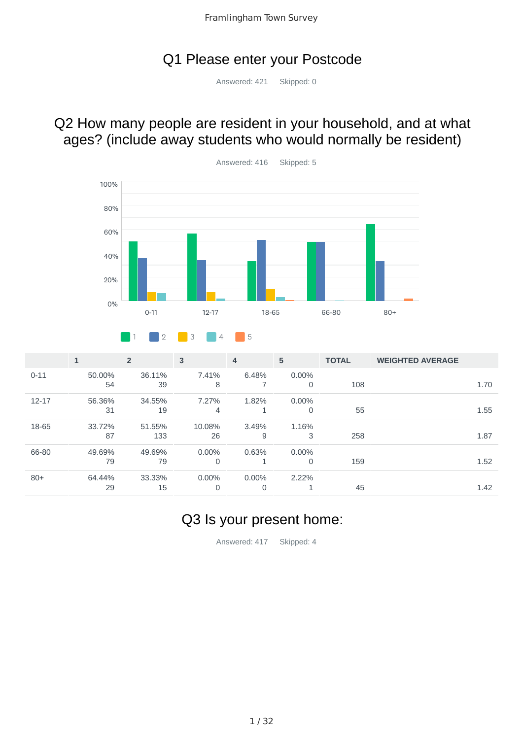### Q1 Please enter your Postcode

Answered: 421 Skipped: 0

## Q2 How many people are resident in your household, and at what ages? (include away students who would normally be resident)



|           | $\mathbf{1}$ | $\overline{2}$ | $\overline{3}$ | 4        | 5        | <b>TOTAL</b> | <b>WEIGHTED AVERAGE</b> |      |
|-----------|--------------|----------------|----------------|----------|----------|--------------|-------------------------|------|
| $0 - 11$  | 50.00%       | 36.11%         | 7.41%          | 6.48%    | $0.00\%$ |              |                         |      |
|           | 54           | 39             | 8              |          | $\Omega$ | 108          |                         | 1.70 |
| $12 - 17$ | 56.36%       | 34.55%         | 7.27%          | 1.82%    | $0.00\%$ |              |                         |      |
|           | 31           | 19             | 4              |          | $\Omega$ | 55           |                         | 1.55 |
| 18-65     | 33.72%       | 51.55%         | 10.08%         | 3.49%    | 1.16%    |              |                         |      |
|           | 87           | 133            | 26             | 9        | 3        | 258          |                         | 1.87 |
| 66-80     | 49.69%       | 49.69%         | $0.00\%$       | 0.63%    | $0.00\%$ |              |                         |      |
|           | 79           | 79             | $\mathbf 0$    |          | 0        | 159          |                         | 1.52 |
| $80+$     | 64.44%       | 33.33%         | $0.00\%$       | $0.00\%$ | 2.22%    |              |                         |      |
|           | 29           | 15             | $\mathbf 0$    | 0        |          | 45           |                         | 1.42 |

## Q3 Is your present home:

Answered: 417 Skipped: 4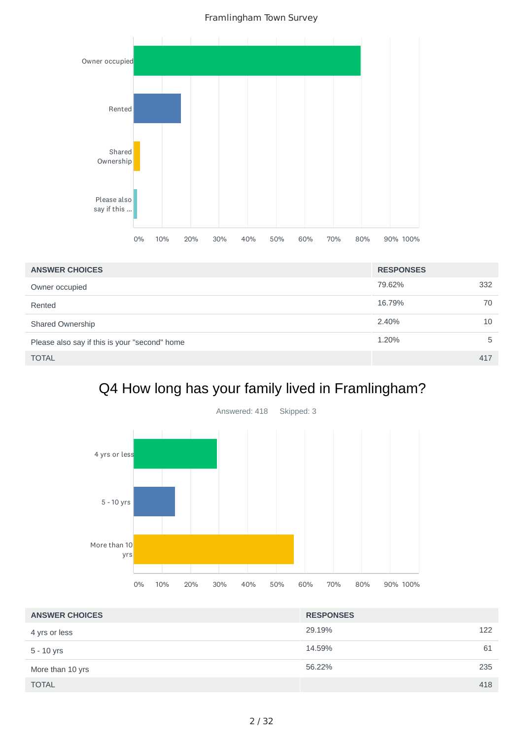

| <b>ANSWER CHOICES</b>                         | <b>RESPONSES</b> |     |
|-----------------------------------------------|------------------|-----|
| Owner occupied                                | 79.62%           | 332 |
| Rented                                        | 16.79%           | 70  |
| Shared Ownership                              | 2.40%            | 10  |
| Please also say if this is your "second" home | 1.20%            | 5   |
| <b>TOTAL</b>                                  |                  | 417 |

# Q4 How long has your family lived in Framlingham?



| <b>ANSWER CHOICES</b> | <b>RESPONSES</b> |    |
|-----------------------|------------------|----|
| 4 yrs or less         | 29.19%<br>122    |    |
| $5 - 10$ yrs          | 14.59%           | 61 |
| More than 10 yrs      | 56.22%<br>235    |    |
| <b>TOTAL</b>          | 418              |    |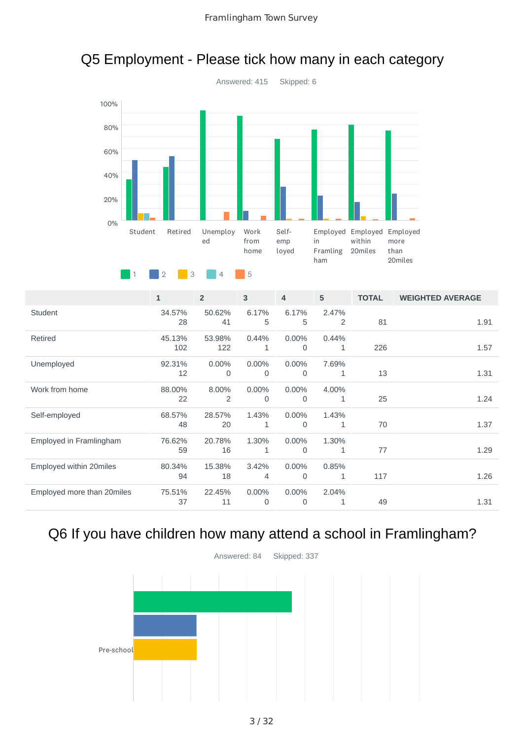

## Q5 Employment - Please tick how many in each category

1 2 3 4 5

|                            | $\mathbf{1}$  | $\overline{2}$ | 3                       | $\overline{4}$       | 5          | <b>TOTAL</b> | <b>WEIGHTED AVERAGE</b> |
|----------------------------|---------------|----------------|-------------------------|----------------------|------------|--------------|-------------------------|
| Student                    | 34.57%<br>28  | 50.62%<br>41   | 6.17%<br>5              | 6.17%<br>5           | 2.47%<br>2 | 81           | 1.91                    |
| Retired                    | 45.13%<br>102 | 53.98%<br>122  | 0.44%<br>1              | $0.00\%$<br>$\Omega$ | 0.44%<br>1 | 226          | 1.57                    |
| Unemployed                 | 92.31%<br>12  | 0.00%<br>0     | 0.00%<br>0              | 0.00%<br>$\mathbf 0$ | 7.69%<br>1 | 13           | 1.31                    |
| Work from home             | 88.00%<br>22  | 8.00%<br>2     | 0.00%<br>$\Omega$       | 0.00%<br>$\Omega$    | 4.00%<br>1 | 25           | 1.24                    |
| Self-employed              | 68.57%<br>48  | 28.57%<br>20   | 1.43%<br>1              | $0.00\%$<br>0        | 1.43%<br>1 | 70           | 1.37                    |
| Employed in Framlingham    | 76.62%<br>59  | 20.78%<br>16   | 1.30%<br>1              | 0.00%<br>$\Omega$    | 1.30%<br>1 | 77           | 1.29                    |
| Employed within 20miles    | 80.34%<br>94  | 15.38%<br>18   | 3.42%<br>4              | $0.00\%$<br>0        | 0.85%<br>1 | 117          | 1.26                    |
| Employed more than 20miles | 75.51%<br>37  | 22.45%<br>11   | $0.00\%$<br>$\mathbf 0$ | $0.00\%$<br>0        | 2.04%<br>1 | 49           | 1.31                    |

# Q6 If you have children how many attend a school in Framlingham?

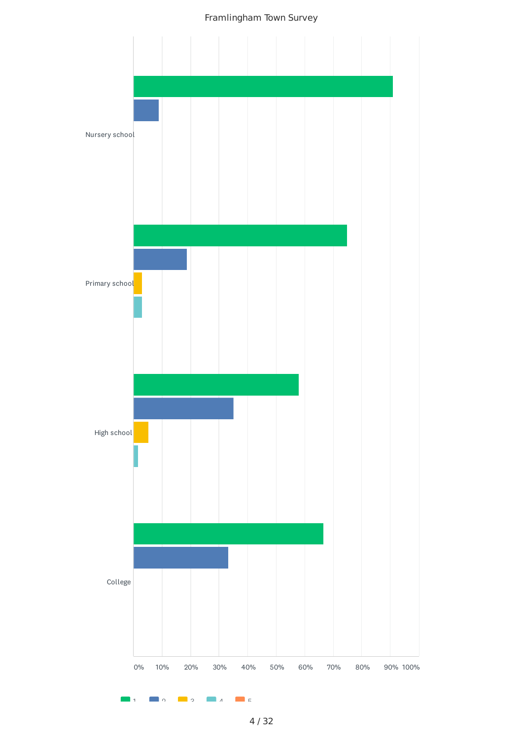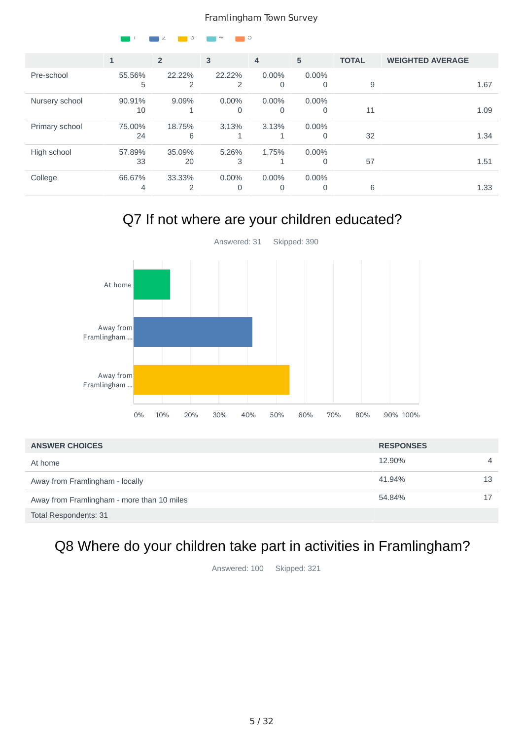|                |              | $\circ$<br>∠   |               | O                     |               |              |                         |
|----------------|--------------|----------------|---------------|-----------------------|---------------|--------------|-------------------------|
|                | $\mathbf{1}$ | $\overline{2}$ | 3             | $\overline{4}$        | 5             | <b>TOTAL</b> | <b>WEIGHTED AVERAGE</b> |
| Pre-school     | 55.56%<br>5  | 22.22%<br>2    | 22.22%<br>2   | $0.00\%$<br>0         | 0.00%<br>0    | 9            | 1.67                    |
| Nursery school | 90.91%<br>10 | 9.09%<br>1     | $0.00\%$<br>0 | 0.00%<br>$\Omega$     | $0.00\%$<br>0 | 11           | 1.09                    |
| Primary school | 75.00%<br>24 | 18.75%<br>6    | 3.13%         | 3.13%                 | $0.00\%$<br>0 | 32           | 1.34                    |
| High school    | 57.89%<br>33 | 35.09%<br>20   | 5.26%<br>3    | 1.75%<br>$\mathbf{1}$ | $0.00\%$<br>0 | 57           | 1.51                    |
| College        | 66.67%<br>4  | 33.33%<br>2    | $0.00\%$<br>0 | $0.00\%$<br>0         | $0.00\%$<br>0 | 6            | 1.33                    |

## Q7 If not where are your children educated?



| <b>ANSWER CHOICES</b>                      | <b>RESPONSES</b> |                |
|--------------------------------------------|------------------|----------------|
| At home                                    | 12.90%           | $\overline{4}$ |
| Away from Framlingham - locally            | 41.94%           | 13             |
| Away from Framlingham - more than 10 miles | 54.84%           |                |
| Total Respondents: 31                      |                  |                |

# Q8 Where do your children take part in activities in Framlingham?

Answered: 100 Skipped: 321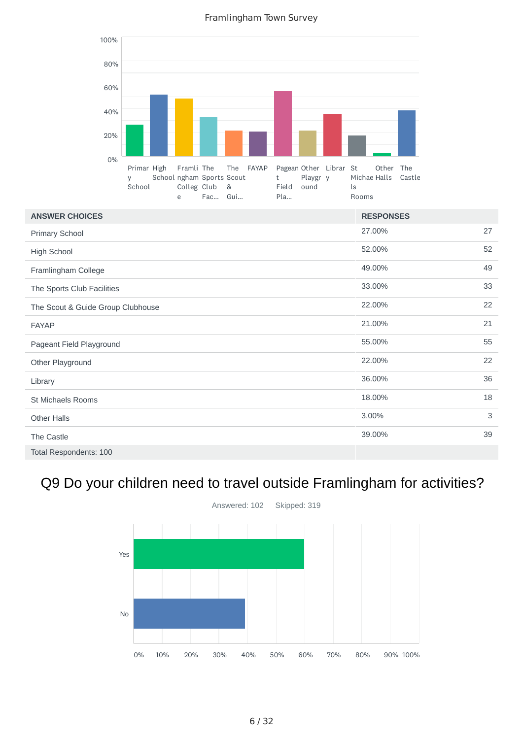

| <b>ANSWER CHOICES</b>             | <b>RESPONSES</b> |    |
|-----------------------------------|------------------|----|
| <b>Primary School</b>             | 27.00%           | 27 |
| High School                       | 52.00%           | 52 |
| Framlingham College               | 49.00%           | 49 |
| The Sports Club Facilities        | 33.00%           | 33 |
| The Scout & Guide Group Clubhouse | 22.00%           | 22 |
| <b>FAYAP</b>                      | 21.00%           | 21 |
| Pageant Field Playground          | 55.00%           | 55 |
| Other Playground                  | 22.00%           | 22 |
| Library                           | 36.00%           | 36 |
| St Michaels Rooms                 | 18.00%           | 18 |
| <b>Other Halls</b>                | 3.00%            | 3  |
| The Castle                        | 39.00%           | 39 |
| Total Respondents: 100            |                  |    |

# Q9 Do your children need to travel outside Framlingham for activities?

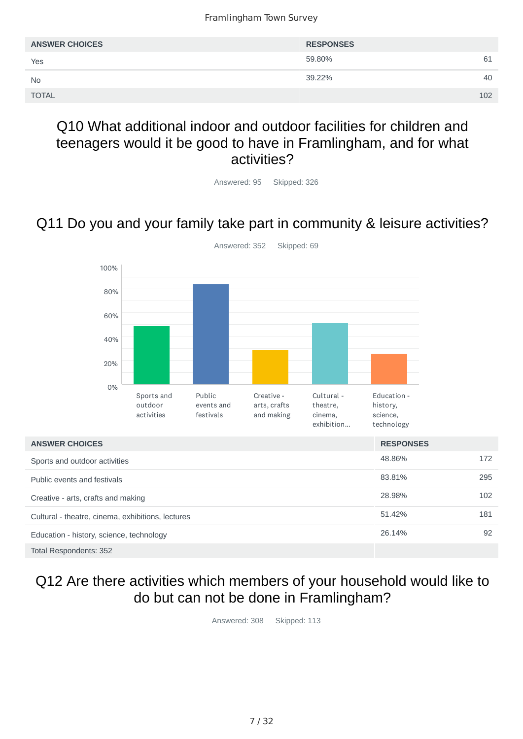| <b>ANSWER CHOICES</b> | <b>RESPONSES</b> |     |
|-----------------------|------------------|-----|
| Yes                   | 59.80%           | 61  |
| <b>No</b>             | 39.22%           | 40  |
| <b>TOTAL</b>          |                  | 102 |

### Q10 What additional indoor and outdoor facilities for children and teenagers would it be good to have in Framlingham, and for what activities?

Answered: 95 Skipped: 326

# Q11 Do you and your family take part in community & leisure activities?



### Q12 Are there activities which members of your household would like to do but can not be done in Framlingham?

Answered: 308 Skipped: 113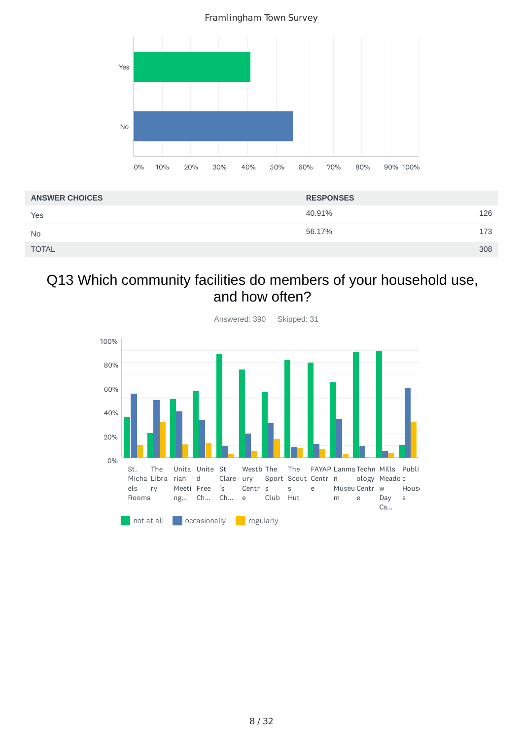

| <b>ANSWER CHOICES</b> | <b>RESPONSES</b> |     |
|-----------------------|------------------|-----|
| Yes                   | 40.91%           | 126 |
| <b>No</b>             | 56.17%           | 173 |
| <b>TOTAL</b>          |                  | 308 |

## Q13 Which community facilities do members of your household use, and how often?

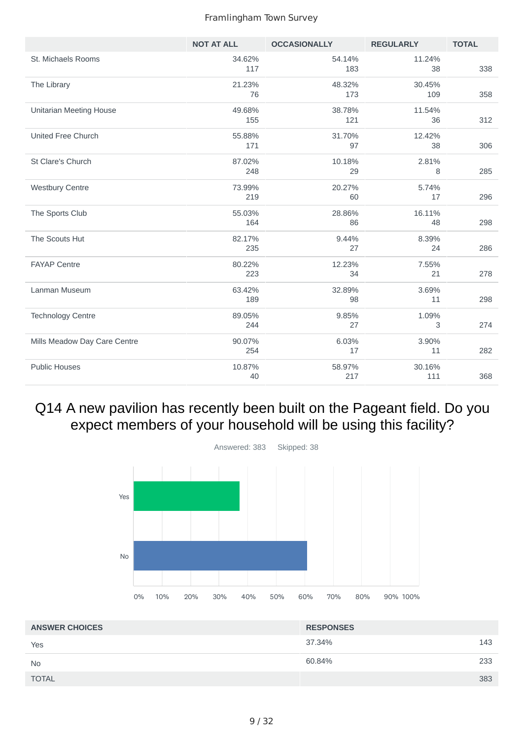|                                | <b>NOT AT ALL</b> | <b>OCCASIONALLY</b> | <b>REGULARLY</b> | <b>TOTAL</b> |
|--------------------------------|-------------------|---------------------|------------------|--------------|
| St. Michaels Rooms             | 34.62%<br>117     | 54.14%<br>183       | 11.24%<br>38     | 338          |
| The Library                    | 21.23%<br>76      | 48.32%<br>173       | 30.45%<br>109    | 358          |
| <b>Unitarian Meeting House</b> | 49.68%<br>155     | 38.78%<br>121       | 11.54%<br>36     | 312          |
| United Free Church             | 55.88%<br>171     | 31.70%<br>97        | 12.42%<br>38     | 306          |
| St Clare's Church              | 87.02%<br>248     | 10.18%<br>29        | 2.81%<br>8       | 285          |
| <b>Westbury Centre</b>         | 73.99%<br>219     | 20.27%<br>60        | 5.74%<br>17      | 296          |
| The Sports Club                | 55.03%<br>164     | 28.86%<br>86        | 16.11%<br>48     | 298          |
| The Scouts Hut                 | 82.17%<br>235     | 9.44%<br>27         | 8.39%<br>24      | 286          |
| <b>FAYAP Centre</b>            | 80.22%<br>223     | 12.23%<br>34        | 7.55%<br>21      | 278          |
| Lanman Museum                  | 63.42%<br>189     | 32.89%<br>98        | 3.69%<br>11      | 298          |
| <b>Technology Centre</b>       | 89.05%<br>244     | 9.85%<br>27         | 1.09%<br>3       | 274          |
| Mills Meadow Day Care Centre   | 90.07%<br>254     | 6.03%<br>17         | 3.90%<br>11      | 282          |
| <b>Public Houses</b>           | 10.87%<br>40      | 58.97%<br>217       | 30.16%<br>111    | 368          |

## Q14 A new pavilion has recently been built on the Pageant field. Do you expect members of your household will be using this facility?



| <b>ANSWER CHOICES</b> | <b>RESPONSES</b> |     |
|-----------------------|------------------|-----|
| Yes                   | 37.34%           | 143 |
| <b>No</b>             | 60.84%           | 233 |
| <b>TOTAL</b>          |                  | 383 |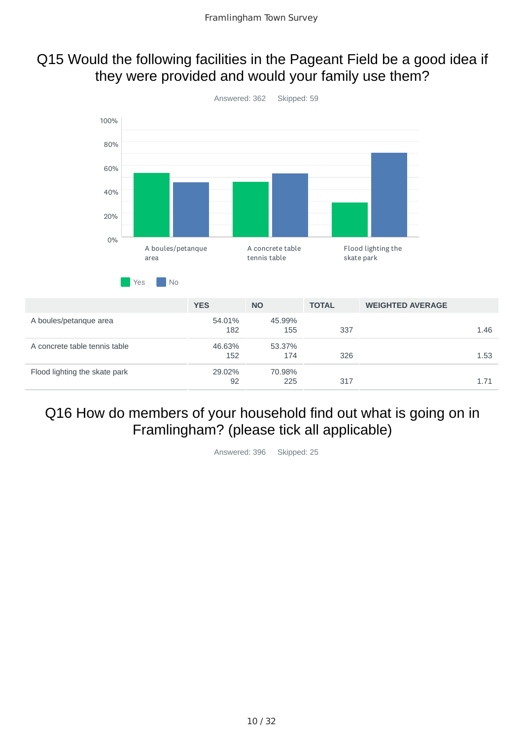### Q15 Would the following facilities in the Pageant Field be a good idea if they were provided and would your family use them?



## Q16 How do members of your household find out what is going on in Framlingham? (please tick all applicable)

Answered: 396 Skipped: 25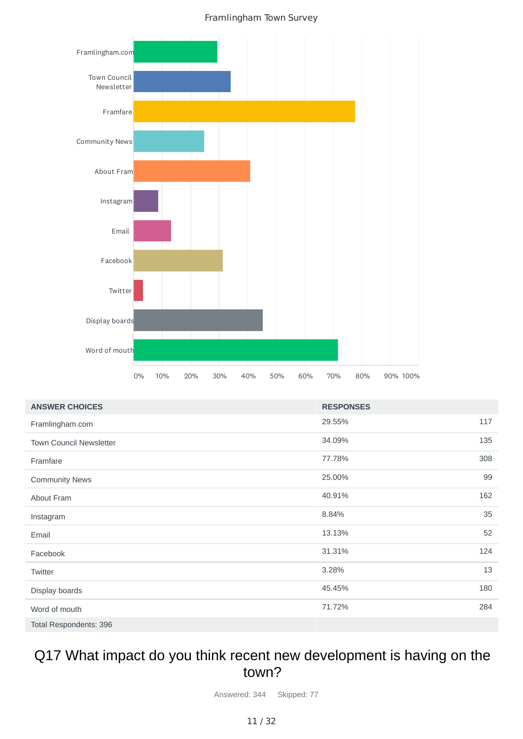

| <b>ANSWER CHOICES</b>          | <b>RESPONSES</b> |     |
|--------------------------------|------------------|-----|
| Framlingham.com                | 29.55%           | 117 |
| <b>Town Council Newsletter</b> | 34.09%           | 135 |
| Framfare                       | 77.78%           | 308 |
| <b>Community News</b>          | 25.00%           | 99  |
| About Fram                     | 40.91%           | 162 |
| Instagram                      | 8.84%            | 35  |
| Email                          | 13.13%           | 52  |
| Facebook                       | 31.31%           | 124 |
| Twitter                        | 3.28%            | 13  |
| Display boards                 | 45.45%           | 180 |
| Word of mouth                  | 71.72%           | 284 |
| Total Respondents: 396         |                  |     |

### Q17 What impact do you think recent new development is having on the town?

Answered: 344 Skipped: 77

#### 11 / 32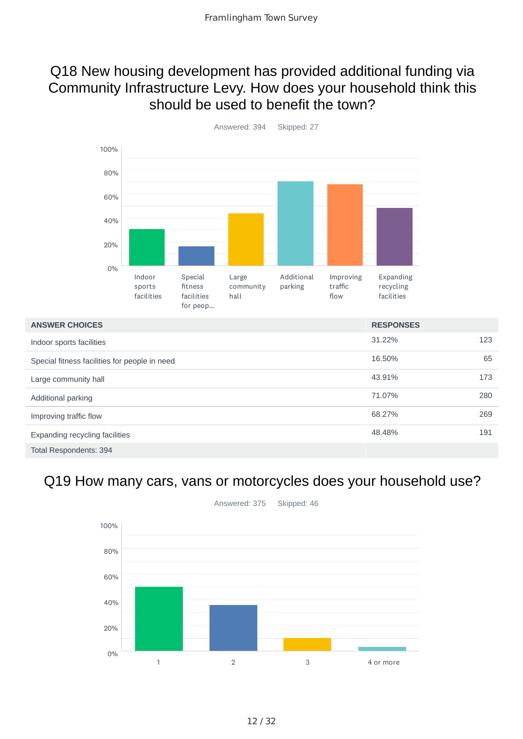### Q18 New housing development has provided additional funding via Community Infrastructure Levy. How does your household think this should be used to benefit the town?



31.22% 123 16.50% 65 43.91% 173 71.07% 280 68.27% 269 48.48% 191 Total Respondents: 394 **ANSWER CHOICES RESPONSES** Indoor sports facilities Special fitness facilities for people in need Large community hall Additional parking Improving traffic flow Expanding recycling facilities

## Q19 How many cars, vans or motorcycles does your household use?

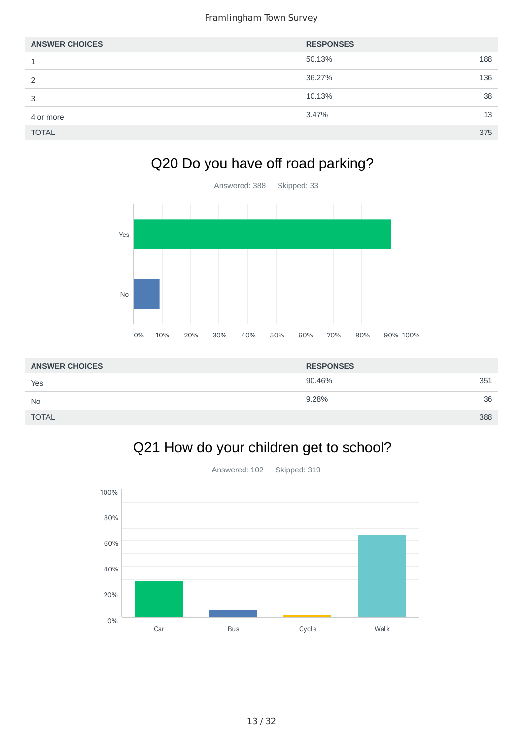| <b>ANSWER CHOICES</b> | <b>RESPONSES</b> |     |
|-----------------------|------------------|-----|
| 1                     | 50.13%           | 188 |
| 2                     | 36.27%           | 136 |
| 3                     | 10.13%           | 38  |
| 4 or more             | 3.47%            | 13  |
| <b>TOTAL</b>          |                  | 375 |

# Q20 Do you have off road parking?



| <b>ANSWER CHOICES</b> | <b>RESPONSES</b> |     |
|-----------------------|------------------|-----|
| Yes                   | 90.46%           | 351 |
| <b>No</b>             | 9.28%            | 36  |
| <b>TOTAL</b>          |                  | 388 |

# Q21 How do your children get to school?

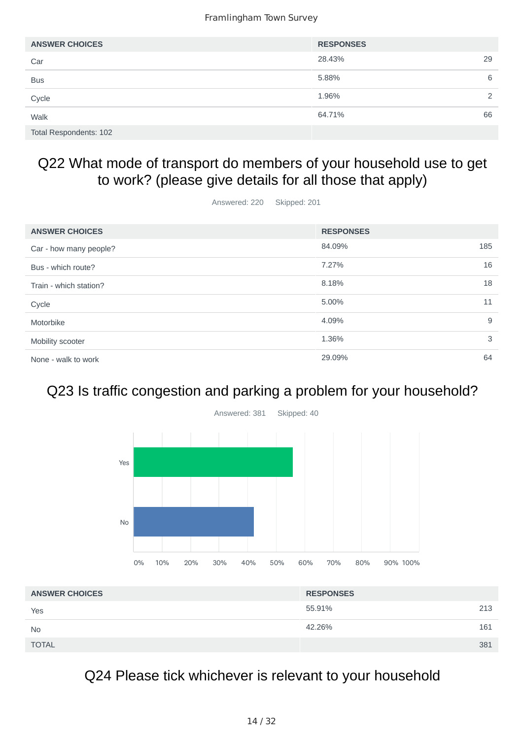| <b>ANSWER CHOICES</b>  | <b>RESPONSES</b> |    |
|------------------------|------------------|----|
| Car                    | 28.43%           | 29 |
| <b>Bus</b>             | 5.88%            | 6  |
| Cycle                  | 1.96%            | 2  |
| Walk                   | 64.71%           | 66 |
| Total Respondents: 102 |                  |    |

## Q22 What mode of transport do members of your household use to get to work? (please give details for all those that apply)

Answered: 220 Skipped: 201

| <b>ANSWER CHOICES</b>  | <b>RESPONSES</b> |     |
|------------------------|------------------|-----|
| Car - how many people? | 84.09%           | 185 |
| Bus - which route?     | 7.27%            | 16  |
| Train - which station? | 8.18%            | 18  |
| Cycle                  | 5.00%            | 11  |
| Motorbike              | 4.09%            | 9   |
| Mobility scooter       | 1.36%            | 3   |
| None - walk to work    | 29.09%           | 64  |

# Q23 Is traffic congestion and parking a problem for your household?



| <b>ANSWER CHOICES</b> | <b>RESPONSES</b> |     |
|-----------------------|------------------|-----|
| Yes                   | 55.91%           | 213 |
| <b>No</b>             | 42.26%           | 161 |
| <b>TOTAL</b>          |                  | 381 |

Q24 Please tick whichever is relevant to your household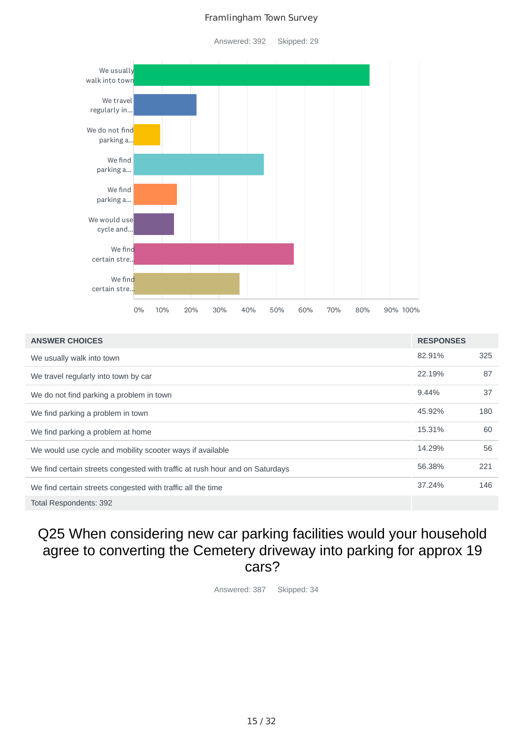Answered: 392 Skipped: 29



| <b>ANSWER CHOICES</b>                                                        | <b>RESPONSES</b> |     |
|------------------------------------------------------------------------------|------------------|-----|
| We usually walk into town                                                    | 82.91%           | 325 |
| We travel regularly into town by car                                         | 22.19%           | 87  |
| We do not find parking a problem in town                                     | 9.44%            | 37  |
| We find parking a problem in town                                            | 45.92%           | 180 |
| We find parking a problem at home                                            | 15.31%           | 60  |
| We would use cycle and mobility scooter ways if available                    | 14.29%           | 56  |
| We find certain streets congested with traffic at rush hour and on Saturdays | 56.38%           | 221 |
| We find certain streets congested with traffic all the time                  | 37.24%           | 146 |
| <b>Total Respondents: 392</b>                                                |                  |     |

## Q25 When considering new car parking facilities would your household agree to converting the Cemetery driveway into parking for approx 19 cars?

Answered: 387 Skipped: 34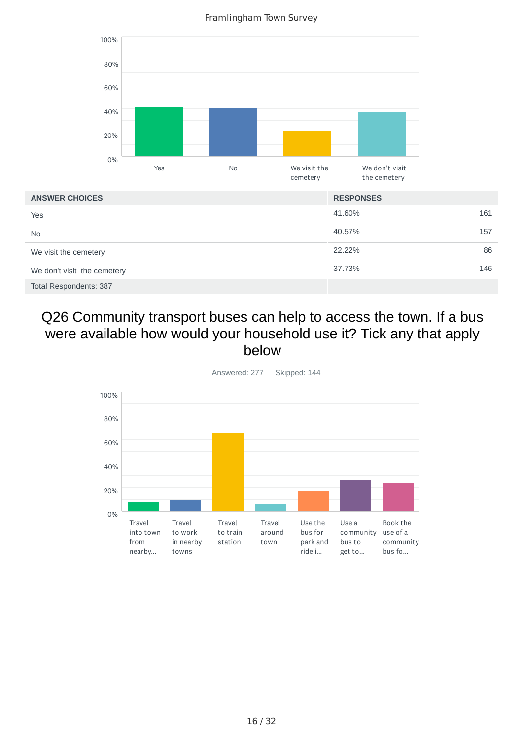Framlingham Town Survey



## Q26 Community transport buses can help to access the town. If a bus were available how would your household use it? Tick any that apply below

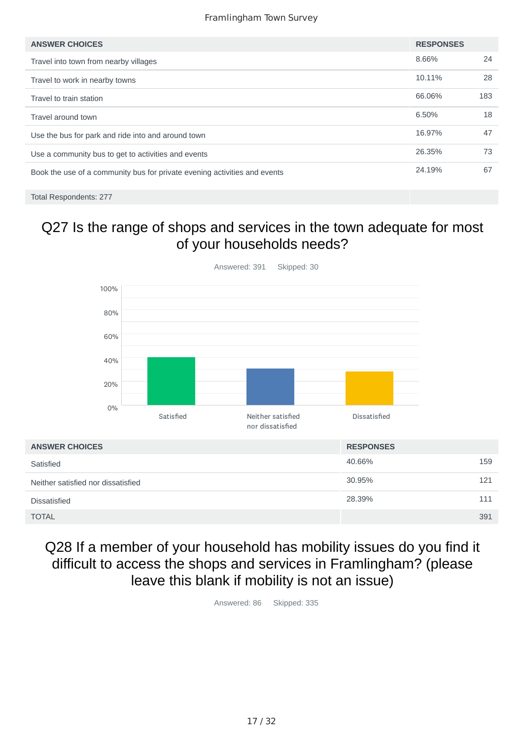| <b>ANSWER CHOICES</b>                                                     | <b>RESPONSES</b> |     |
|---------------------------------------------------------------------------|------------------|-----|
| Travel into town from nearby villages                                     | 8.66%            | 24  |
| Travel to work in nearby towns                                            | 10.11%           | 28  |
| Travel to train station                                                   | 66.06%           | 183 |
| Travel around town                                                        | 6.50%            | 18  |
| Use the bus for park and ride into and around town                        | 16.97%           | 47  |
| Use a community bus to get to activities and events                       | 26.35%           | 73  |
| Book the use of a community bus for private evening activities and events | 24.19%           | 67  |
|                                                                           |                  |     |

Total Respondents: 277

## Q27 Is the range of shops and services in the town adequate for most of your households needs?



## Q28 If a member of your household has mobility issues do you find it difficult to access the shops and services in Framlingham? (please leave this blank if mobility is not an issue)

Answered: 86 Skipped: 335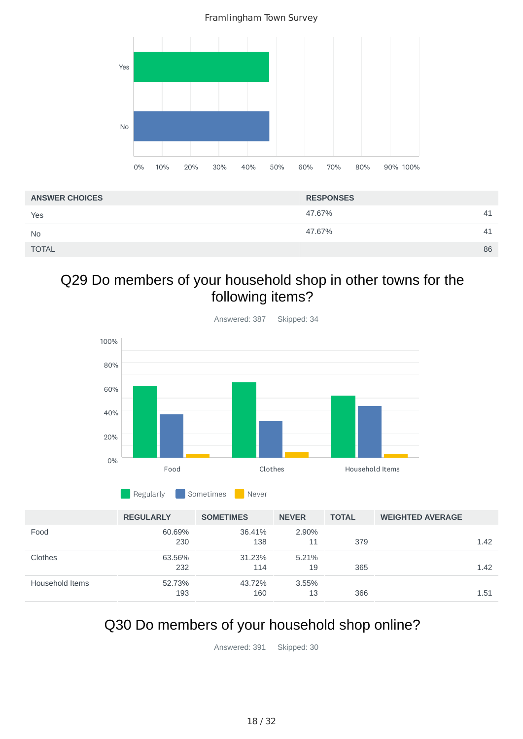Framlingham Town Survey



| <b>ANSWER CHOICES</b> | <b>RESPONSES</b> |    |
|-----------------------|------------------|----|
| Yes                   | 47.67%           | 41 |
| <b>No</b>             | 47.67%           | 41 |
| <b>TOTAL</b>          |                  | 86 |

## Q29 Do members of your household shop in other towns for the following items?



|                 | <b>REGULARLY</b> | <b>SOMETIMES</b> | <b>NEVER</b> | <b>TOTAL</b> | <b>WEIGHTED AVERAGE</b> |      |
|-----------------|------------------|------------------|--------------|--------------|-------------------------|------|
| Food            | 60.69%           | 36.41%           | 2.90%        |              |                         |      |
|                 | 230              | 138              | 11           | 379          |                         | 1.42 |
| Clothes         | 63.56%           | 31.23%           | 5.21%        |              |                         |      |
|                 | 232              | 114              | 19           | 365          |                         | 1.42 |
| Household Items | 52.73%           | 43.72%           | $3.55\%$     |              |                         |      |
|                 | 193              | 160              | 13           | 366          |                         | 1.51 |

Regularly **Sometimes** Never

# Q30 Do members of your household shop online?

Answered: 391 Skipped: 30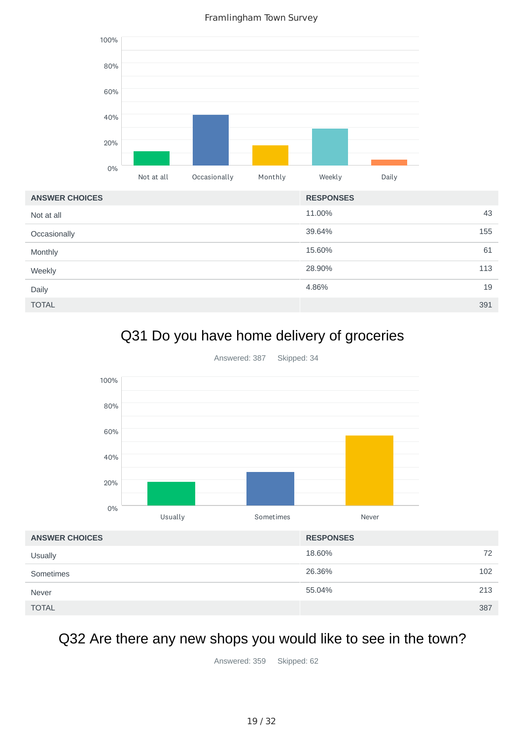

# Q31 Do you have home delivery of groceries



Answered: 387 Skipped: 34

## Q32 Are there any new shops you would like to see in the town?

Answered: 359 Skipped: 62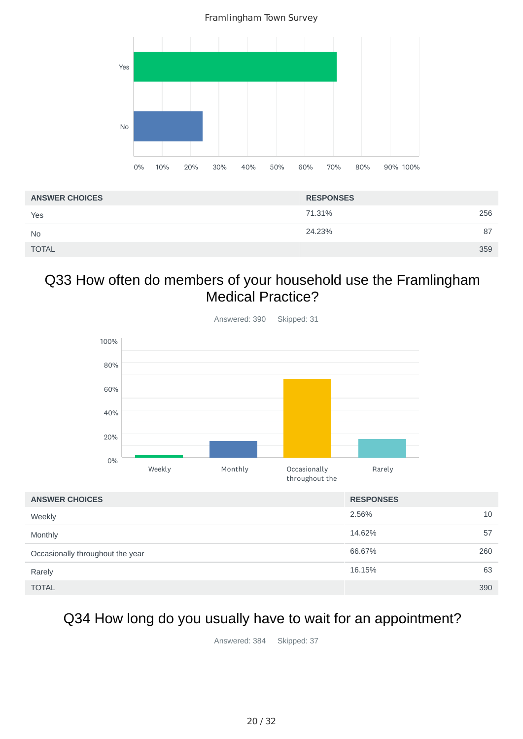Framlingham Town Survey



| <b>ANSWER CHOICES</b> | <b>RESPONSES</b> |
|-----------------------|------------------|
| Yes                   | 71.31%<br>256    |
| <b>No</b>             | 24.23%<br>87     |
| <b>TOTAL</b>          | 359              |

## Q33 How often do members of your household use the Framlingham Medical Practice?



|                                  | the control of the |     |
|----------------------------------|--------------------|-----|
| <b>ANSWER CHOICES</b>            | <b>RESPONSES</b>   |     |
| Weekly                           | 2.56%              | 10  |
| Monthly                          | 14.62%             | 57  |
| Occasionally throughout the year | 66.67%             | 260 |
| Rarely                           | 16.15%             | 63  |
| <b>TOTAL</b>                     |                    | 390 |

## Q34 How long do you usually have to wait for an appointment?

Answered: 384 Skipped: 37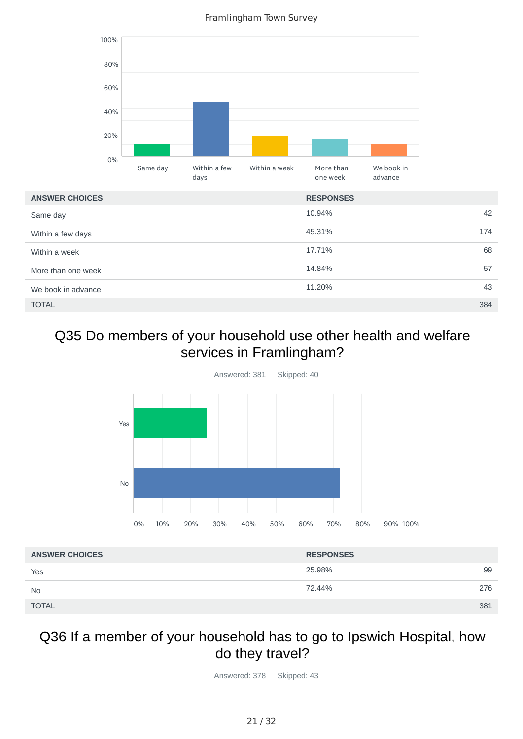10.94% 42 45.31% 174 17.71% 68 14.84% 57 11.20% 43 TOTAL 384 Same day Within a few days Within a week More than one week We book in advance 0% 20% 40% 60% 80% 100% **ANSWER CHOICES RESPONSES** Same day Within a few days Within a week More than one week We book in advance

## Q35 Do members of your household use other health and welfare services in Framlingham?



| <b>ANSWER CHOICES</b> | <b>RESPONSES</b> |     |
|-----------------------|------------------|-----|
| Yes                   | 25.98%           | 99  |
| <b>No</b>             | 72.44%           | 276 |
| <b>TOTAL</b>          |                  | 381 |

### Q36 If a member of your household has to go to Ipswich Hospital, how do they travel?

Answered: 378 Skipped: 43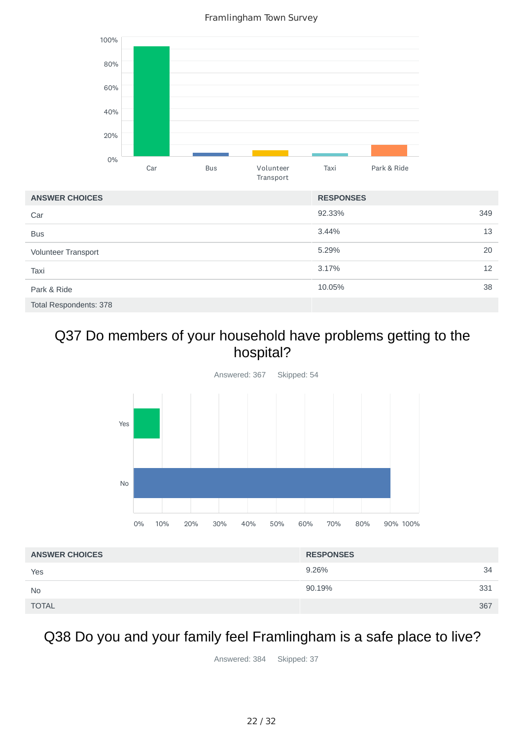Framlingham Town Survey



## Q37 Do members of your household have problems getting to the hospital?



| <b>ANSWER CHOICES</b> | <b>RESPONSES</b> |     |
|-----------------------|------------------|-----|
| Yes                   | 9.26%            | 34  |
| <b>No</b>             | 90.19%           | 331 |
| <b>TOTAL</b>          |                  | 367 |

## Q38 Do you and your family feel Framlingham is a safe place to live?

Answered: 384 Skipped: 37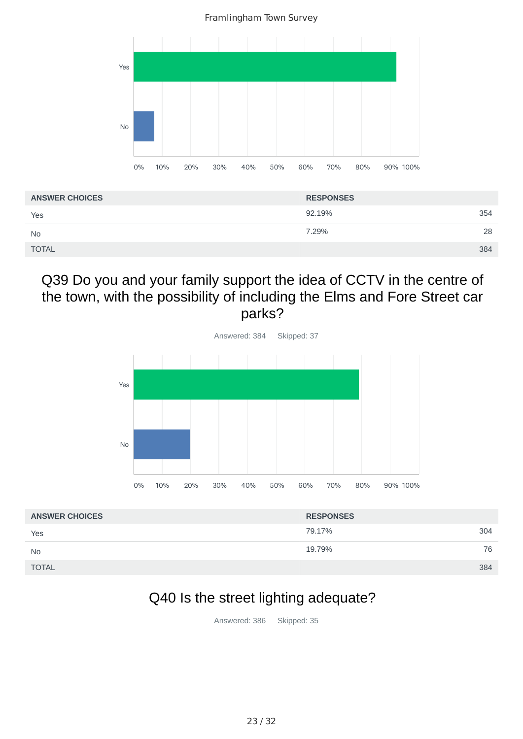Framlingham Town Survey



| <b>ANSWER CHOICES</b> | <b>RESPONSES</b> |     |
|-----------------------|------------------|-----|
| Yes                   | 92.19%           | 354 |
| <b>No</b>             | 7.29%            | 28  |
| <b>TOTAL</b>          | 384              |     |

### Q39 Do you and your family support the idea of CCTV in the centre of the town, with the possibility of including the Elms and Fore Street car parks?



| <b>ANSWER CHOICES</b> | <b>RESPONSES</b> |  |
|-----------------------|------------------|--|
| Yes                   | 304<br>79.17%    |  |
| <b>No</b>             | 19.79%<br>76     |  |
| <b>TOTAL</b>          | 384              |  |

# Q40 Is the street lighting adequate?

Answered: 386 Skipped: 35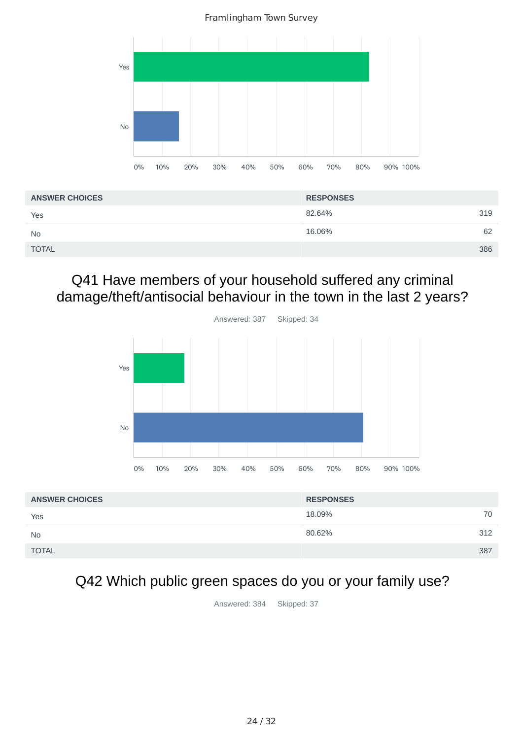Framlingham Town Survey



| <b>ANSWER CHOICES</b> | <b>RESPONSES</b> |     |
|-----------------------|------------------|-----|
| Yes                   | 82.64%           | 319 |
| <b>No</b>             | 16.06%           | 62  |
| <b>TOTAL</b>          |                  | 386 |

## Q41 Have members of your household suffered any criminal damage/theft/antisocial behaviour in the town in the last 2 years?



| <b>ANSWER CHOICES</b> | <b>RESPONSES</b> |     |
|-----------------------|------------------|-----|
| Yes                   | 18.09%           | 70  |
| <b>No</b>             | 80.62%           | 312 |
| <b>TOTAL</b>          |                  | 387 |

# Q42 Which public green spaces do you or your family use?

Answered: 384 Skipped: 37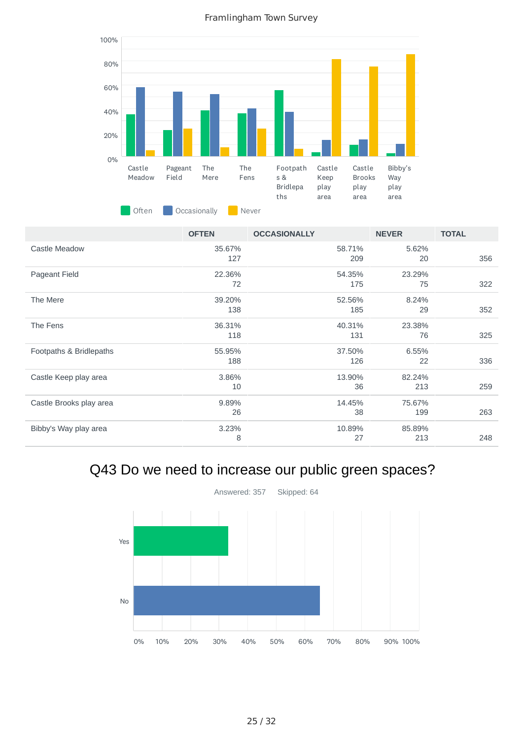Framlingham Town Survey



|                         | <b>OFTEN</b>  | <b>OCCASIONALLY</b> | <b>NEVER</b>  | <b>TOTAL</b> |
|-------------------------|---------------|---------------------|---------------|--------------|
| Castle Meadow           | 35.67%<br>127 | 58.71%<br>209       | 5.62%<br>20   | 356          |
| Pageant Field           | 22.36%<br>72  | 54.35%<br>175       | 23.29%<br>75  | 322          |
| The Mere                | 39.20%        | 52.56%              | 8.24%         |              |
|                         | 138           | 185                 | 29            | 352          |
| The Fens                | 36.31%<br>118 | 40.31%<br>131       | 23.38%<br>76  | 325          |
| Footpaths & Bridlepaths | 55.95%<br>188 | 37.50%<br>126       | 6.55%<br>22   | 336          |
| Castle Keep play area   | 3.86%<br>10   | 13.90%<br>36        | 82.24%<br>213 | 259          |
| Castle Brooks play area | 9.89%<br>26   | 14.45%<br>38        | 75.67%<br>199 | 263          |
| Bibby's Way play area   | 3.23%<br>8    | 10.89%<br>27        | 85.89%<br>213 | 248          |

## Q43 Do we need to increase our public green spaces?

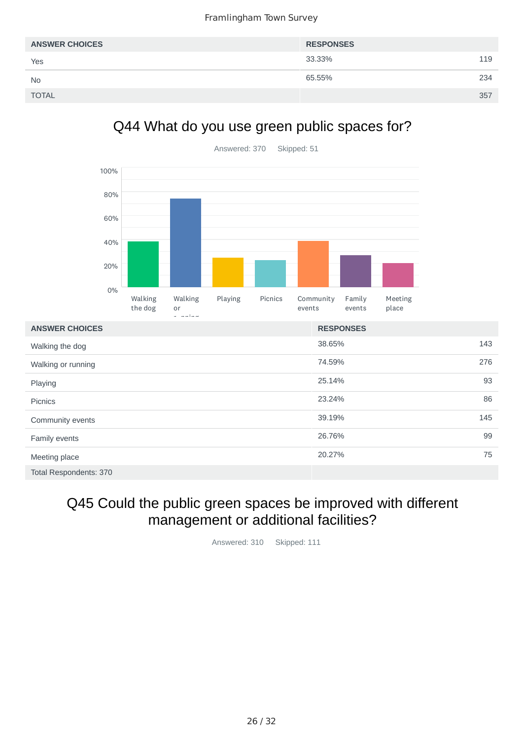| <b>ANSWER CHOICES</b> | <b>RESPONSES</b> |     |
|-----------------------|------------------|-----|
| Yes                   | 33.33%           | 119 |
| <b>No</b>             | 65.55%           | 234 |
| <b>TOTAL</b>          |                  | 357 |

## Q44 What do you use green public spaces for?



| <b>Picnics</b>   |  |
|------------------|--|
| Community events |  |

Playing

| Community events       | 39.19% | 145 |
|------------------------|--------|-----|
| Family events          | 26.76% | 99  |
| Meeting place          | 20.27% | 75  |
| Total Respondents: 370 |        |     |

23.24% 86

## Q45 Could the public green spaces be improved with different management or additional facilities?

Answered: 310 Skipped: 111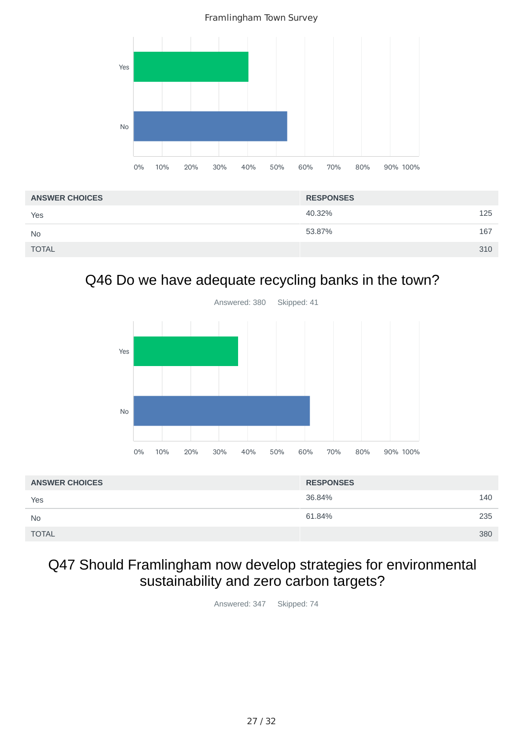

| <b>ANSWER CHOICES</b> | <b>RESPONSES</b> |     |
|-----------------------|------------------|-----|
| Yes                   | 40.32%           | 125 |
| <b>No</b>             | 53.87%           | 167 |
| <b>TOTAL</b>          |                  | 310 |

## Q46 Do we have adequate recycling banks in the town?



| <b>ANSWER CHOICES</b> | <b>RESPONSES</b> |     |
|-----------------------|------------------|-----|
| Yes                   | 36.84%           | 140 |
| <b>No</b>             | 61.84%           | 235 |
| <b>TOTAL</b>          |                  | 380 |

## Q47 Should Framlingham now develop strategies for environmental sustainability and zero carbon targets?

Answered: 347 Skipped: 74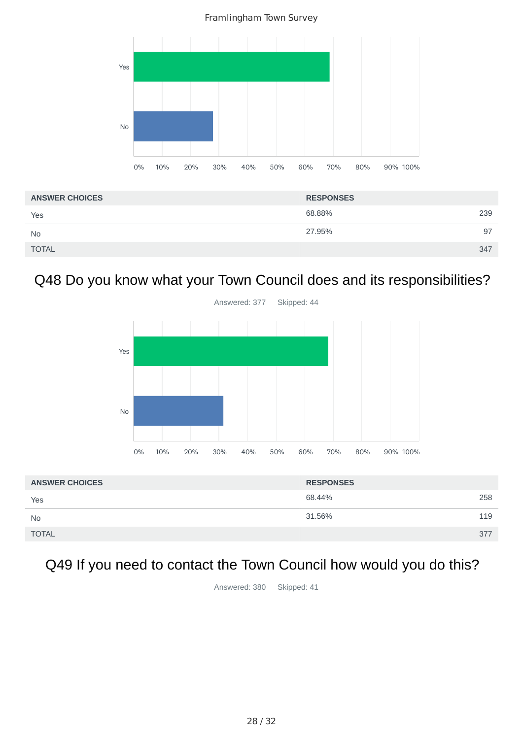Framlingham Town Survey



| <b>ANSWER CHOICES</b> | <b>RESPONSES</b> |     |
|-----------------------|------------------|-----|
| Yes                   | 68.88%           | 239 |
| <b>No</b>             | 27.95%           | 97  |
| <b>TOTAL</b>          |                  | 347 |

## Q48 Do you know what your Town Council does and its responsibilities?



| <b>ANSWER CHOICES</b> | <b>RESPONSES</b> |     |
|-----------------------|------------------|-----|
| Yes                   | 68.44%           | 258 |
| <b>No</b>             | 31.56%           | 119 |
| <b>TOTAL</b>          |                  | 377 |

# Q49 If you need to contact the Town Council how would you do this?

Answered: 380 Skipped: 41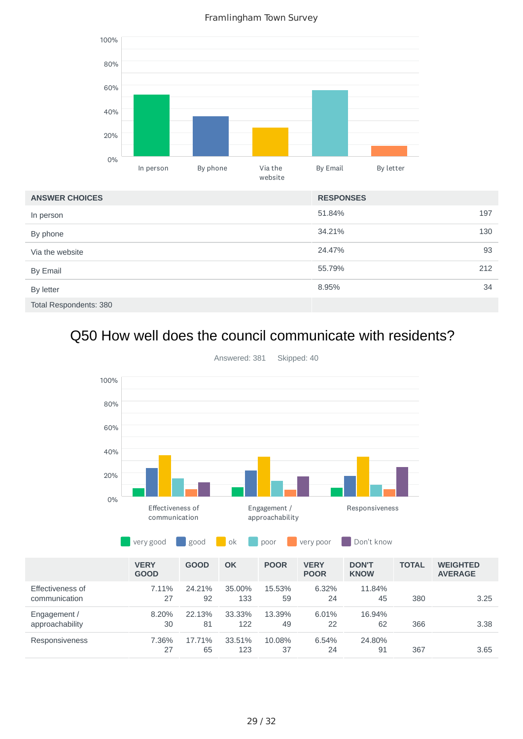Framlingham Town Survey



# Q50 How well does the council communicate with residents?



Answered: 381 Skipped: 40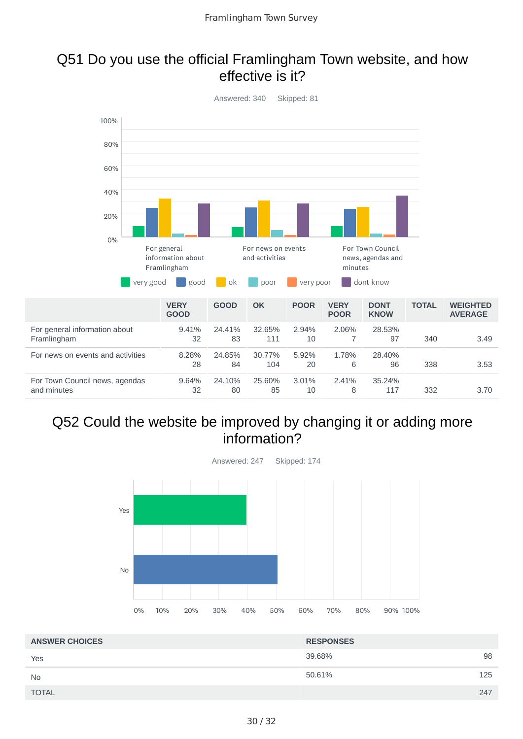#### Q51 Do you use the official Framlingham Town website, and how effective is it?



#### Q52 Could the website be improved by changing it or adding more information?



| <b>ANSWER CHOICES</b> | <b>RESPONSES</b> |  |
|-----------------------|------------------|--|
| Yes                   | 39.68%<br>98     |  |
| <b>No</b>             | 50.61%<br>125    |  |
| <b>TOTAL</b>          | 247              |  |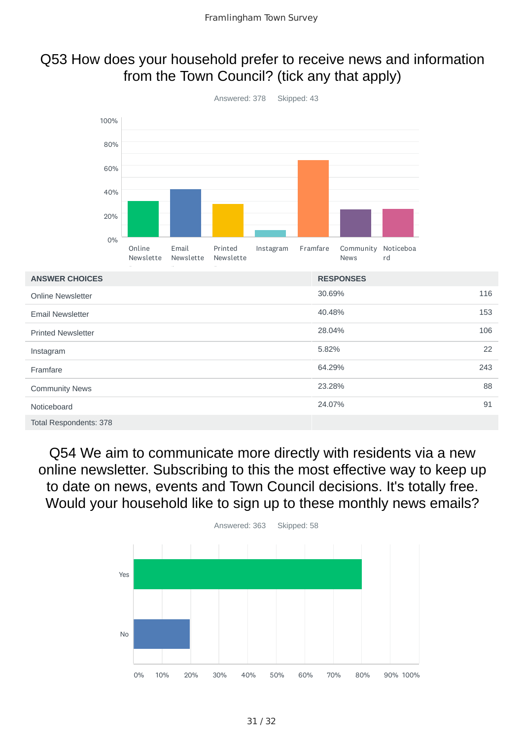### Q53 How does your household prefer to receive news and information from the Town Council? (tick any that apply)



Q54 We aim to communicate more directly with residents via a new online newsletter. Subscribing to this the most effective way to keep up to date on news, events and Town Council decisions. It's totally free. Would your household like to sign up to these monthly news emails?